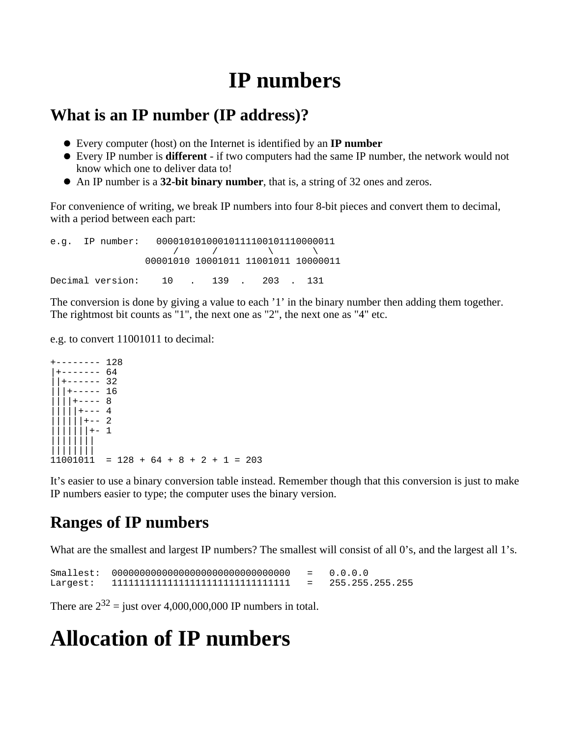# **IP numbers**

### **What is an IP number (IP address)?**

- Every computer (host) on the Internet is identified by an **IP number**
- Every IP number is **different** if two computers had the same IP number, the network would not know which one to deliver data to!
- An IP number is a **32-bit binary number**, that is, a string of 32 ones and zeros.

For convenience of writing, we break IP numbers into four 8-bit pieces and convert them to decimal, with a period between each part:

e.g. IP number: 00001010100010111100101110000011  $\sqrt{2}$  /  $\sqrt{2}$  /  $\sqrt{2}$  00001010 10001011 11001011 10000011 Decimal version: 10 . 139 . 203 . 131

The conversion is done by giving a value to each '1' in the binary number then adding them together. The rightmost bit counts as "1", the next one as "2", the next one as "4" etc.

e.g. to convert 11001011 to decimal:

 $-$ ------ 128  $+----- 64$  $|+----32$  $+----16$  $+---8$  $+--- 4$  $+-- 2$  $|+-1|$ |||||||| ||||||||  $11001011 = 128 + 64 + 8 + 2 + 1 = 203$ 

It's easier to use a binary conversion table instead. Remember though that this conversion is just to make IP numbers easier to type; the computer uses the binary version.

## **Ranges of IP numbers**

What are the smallest and largest IP numbers? The smallest will consist of all 0's, and the largest all 1's.

```
Smallest: 00000000000000000000000000000000 = 0.0.0.0
Largest: 11111111111111111111111111111111 = 255.255.255.255
```
There are  $2^{32}$  = just over 4,000,000,000 IP numbers in total.

## **Allocation of IP numbers**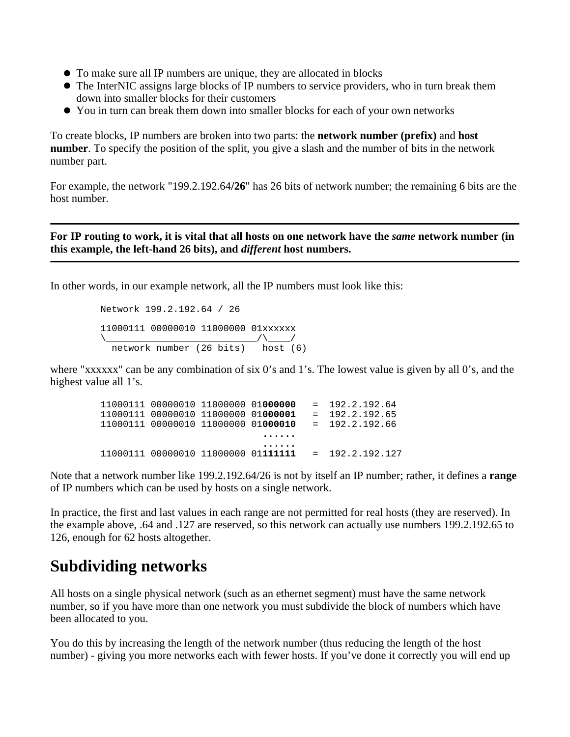- To make sure all IP numbers are unique, they are allocated in blocks
- The InterNIC assigns large blocks of IP numbers to service providers, who in turn break them down into smaller blocks for their customers
- You in turn can break them down into smaller blocks for each of your own networks

To create blocks, IP numbers are broken into two parts: the **network number (prefix)** and **host number**. To specify the position of the split, you give a slash and the number of bits in the network number part.

For example, the network "199.2.192.64**/26**" has 26 bits of network number; the remaining 6 bits are the host number.

**For IP routing to work, it is vital that all hosts on one network have the** *same* **network number (in this example, the left-hand 26 bits), and** *different* **host numbers.**

In other words, in our example network, all the IP numbers must look like this:

 Network 199.2.192.64 / 26 11000111 00000010 11000000 01xxxxxx \\_\_\_\_\_\_\_\_\_\_\_\_\_\_\_\_\_\_\_\_\_\_\_\_\_\_\_/\\_\_\_\_/ network number (26 bits) host (6)

where "xxxxxx" can be any combination of six 0's and 1's. The lowest value is given by all 0's, and the highest value all 1's.

 11000111 00000010 11000000 01**000000** = 192.2.192.64 11000111 00000010 11000000 01**000001** = 192.2.192.65 11000111 00000010 11000000 01**000010** = 192.2.192.66 **...... ......** 11000111 00000010 11000000 01**111111** = 192.2.192.127

Note that a network number like 199.2.192.64/26 is not by itself an IP number; rather, it defines a **range** of IP numbers which can be used by hosts on a single network.

In practice, the first and last values in each range are not permitted for real hosts (they are reserved). In the example above, .64 and .127 are reserved, so this network can actually use numbers 199.2.192.65 to 126, enough for 62 hosts altogether.

## **Subdividing networks**

All hosts on a single physical network (such as an ethernet segment) must have the same network number, so if you have more than one network you must subdivide the block of numbers which have been allocated to you.

You do this by increasing the length of the network number (thus reducing the length of the host number) - giving you more networks each with fewer hosts. If you've done it correctly you will end up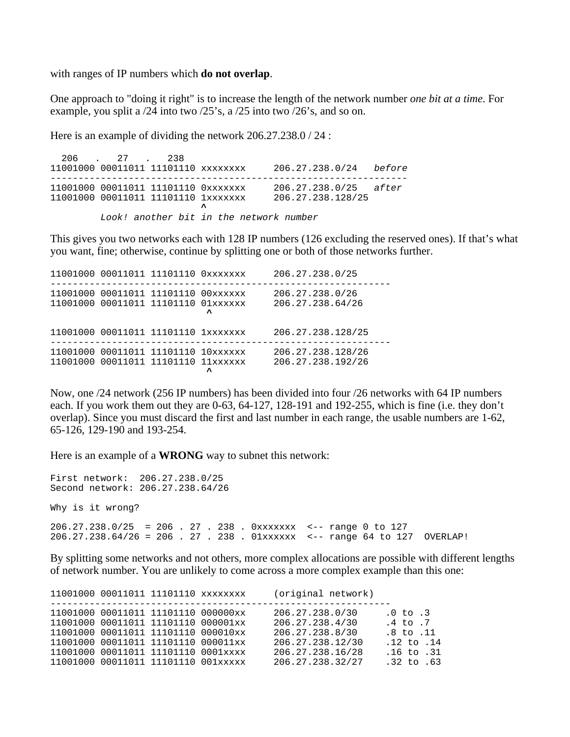with ranges of IP numbers which **do not overlap**.

One approach to "doing it right" is to increase the length of the network number *one bit at a time*. For example, you split a /24 into two /25's, a /25 into two /26's, and so on.

Here is an example of dividing the network 206.27.238.0 / 24 :

 206 . 27 . 238 11001000 00011011 11101110 xxxxxxxx 206.27.238.0/24 before ---------------------------------------------------------------- 11001000 00011011 11101110 0xxxxxxx 206.27.238.0/25 after 11001000 00011011 11101110 1xxxxxxx 206.27.238.128/25 *<u>A*</u> Look! another bit in the network number

This gives you two networks each with 128 IP numbers (126 excluding the reserved ones). If that's what you want, fine; otherwise, continue by splitting one or both of those networks further.

|  | 11001000 00011011 11101110 0xxxxxxx                                        |           | 206.27.238.0/25                        |
|--|----------------------------------------------------------------------------|-----------|----------------------------------------|
|  | 11001000 00011011 11101110 00xxxxxx<br>11001000 00011011 11101110 01xxxxxx | $\lambda$ | 206.27.238.0/26<br>206.27.238.64/26    |
|  | 11001000 00011011 11101110 1xxxxxxx                                        |           | 206.27.238.128/25                      |
|  | 11001000 00011011 11101110 10xxxxxx<br>11001000 00011011 11101110 11xxxxxx | ᄉ         | 206.27.238.128/26<br>206.27.238.192/26 |

Now, one /24 network (256 IP numbers) has been divided into four /26 networks with 64 IP numbers each. If you work them out they are 0-63, 64-127, 128-191 and 192-255, which is fine (i.e. they don't overlap). Since you must discard the first and last number in each range, the usable numbers are 1-62, 65-126, 129-190 and 193-254.

Here is an example of a **WRONG** way to subnet this network:

First network: 206.27.238.0/25 Second network: 206.27.238.64/26 Why is it wrong? 206.27.238.0/25 = 206 . 27 . 238 . 0xxxxxxx <-- range 0 to 127 206.27.238.64/26 = 206 . 27 . 238 . 01xxxxxx <-- range 64 to 127 OVERLAP!

By splitting some networks and not others, more complex allocations are possible with different lengths of network number. You are unlikely to come across a more complex example than this one:

|  |                                     | 11001000 00011011 11101110 xxxxxxxx | (original network) |                |
|--|-------------------------------------|-------------------------------------|--------------------|----------------|
|  | 11001000 00011011 11101110 000000xx |                                     | 206.27.238.0/30    | $.0$ to $.3$   |
|  | 11001000 00011011 11101110 000001xx |                                     | 206.27.238.4/30    | $.4$ to $.7$   |
|  | 11001000 00011011 11101110 000010xx |                                     | 206.27.238.8/30    | $.8$ to $.11$  |
|  | 11001000 00011011 11101110 000011xx |                                     | 206.27.238.12/30   | $.12$ to $.14$ |
|  | 11001000 00011011 11101110 0001xxxx |                                     | 206.27.238.16/28   | $.16$ to $.31$ |
|  | 11001000 00011011 11101110 001xxxxx |                                     | 206.27.238.32/27   | $.32$ to $.63$ |